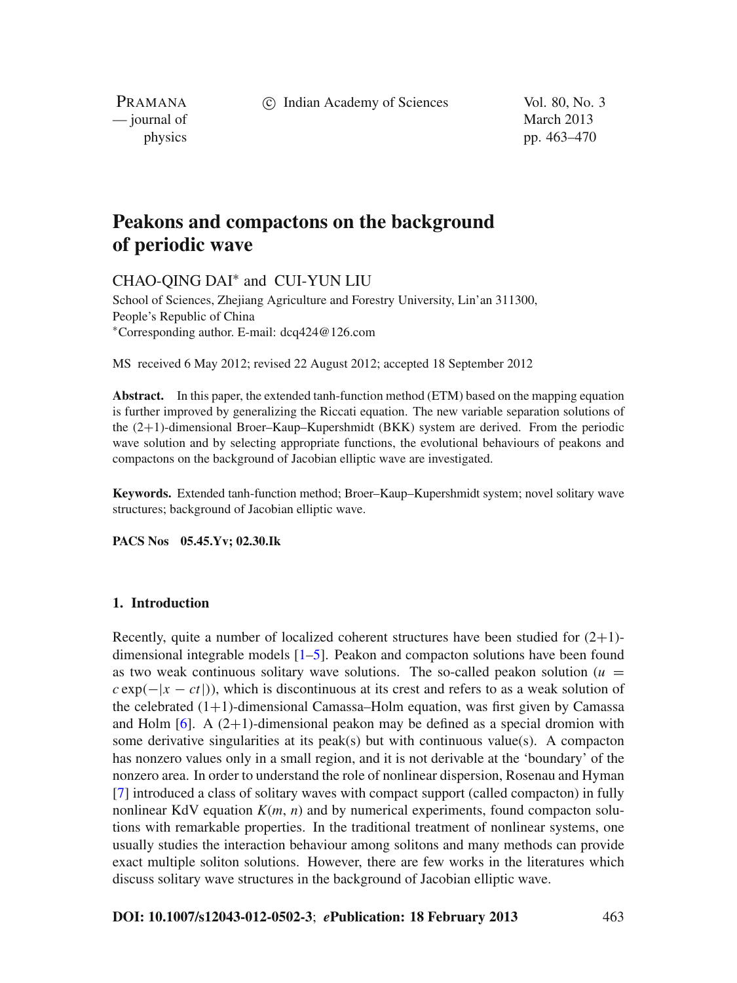c Indian Academy of Sciences Vol. 80, No. 3

PRAMANA — journal of March 2013

physics pp. 463–470

# **Peakons and compactons on the background of periodic wave**

CHAO-QING DAI<sup>∗</sup> and CUI-YUN LIU

School of Sciences, Zhejiang Agriculture and Forestry University, Lin'an 311300, People's Republic of China <sup>∗</sup>Corresponding author. E-mail: dcq424@126.com

MS received 6 May 2012; revised 22 August 2012; accepted 18 September 2012

**Abstract.** In this paper, the extended tanh-function method (ETM) based on the mapping equation is further improved by generalizing the Riccati equation. The new variable separation solutions of the (2+1)-dimensional Broer–Kaup–Kupershmidt (BKK) system are derived. From the periodic wave solution and by selecting appropriate functions, the evolutional behaviours of peakons and compactons on the background of Jacobian elliptic wave are investigated.

**Keywords.** Extended tanh-function method; Broer–Kaup–Kupershmidt system; novel solitary wave structures; background of Jacobian elliptic wave.

**PACS Nos 05.45.Yv; 02.30.Ik**

# **1. Introduction**

Recently, quite a number of localized coherent structures have been studied for  $(2+1)$ dimensional integrable models [\[1](#page-6-0)[–5\]](#page-6-1). Peakon and compacton solutions have been found as two weak continuous solitary wave solutions. The so-called peakon solution  $(u =$  $c \exp(-|x - ct|)$ , which is discontinuous at its crest and refers to as a weak solution of the celebrated  $(1+1)$ -dimensional Camassa–Holm equation, was first given by Camassa and Holm  $[6]$ . A  $(2+1)$ -dimensional peakon may be defined as a special dromion with some derivative singularities at its peak(s) but with continuous value(s). A compacton has nonzero values only in a small region, and it is not derivable at the 'boundary' of the nonzero area. In order to understand the role of nonlinear dispersion, Rosenau and Hyman [\[7](#page-7-1)] introduced a class of solitary waves with compact support (called compacton) in fully nonlinear KdV equation  $K(m, n)$  and by numerical experiments, found compacton solutions with remarkable properties. In the traditional treatment of nonlinear systems, one usually studies the interaction behaviour among solitons and many methods can provide exact multiple soliton solutions. However, there are few works in the literatures which discuss solitary wave structures in the background of Jacobian elliptic wave.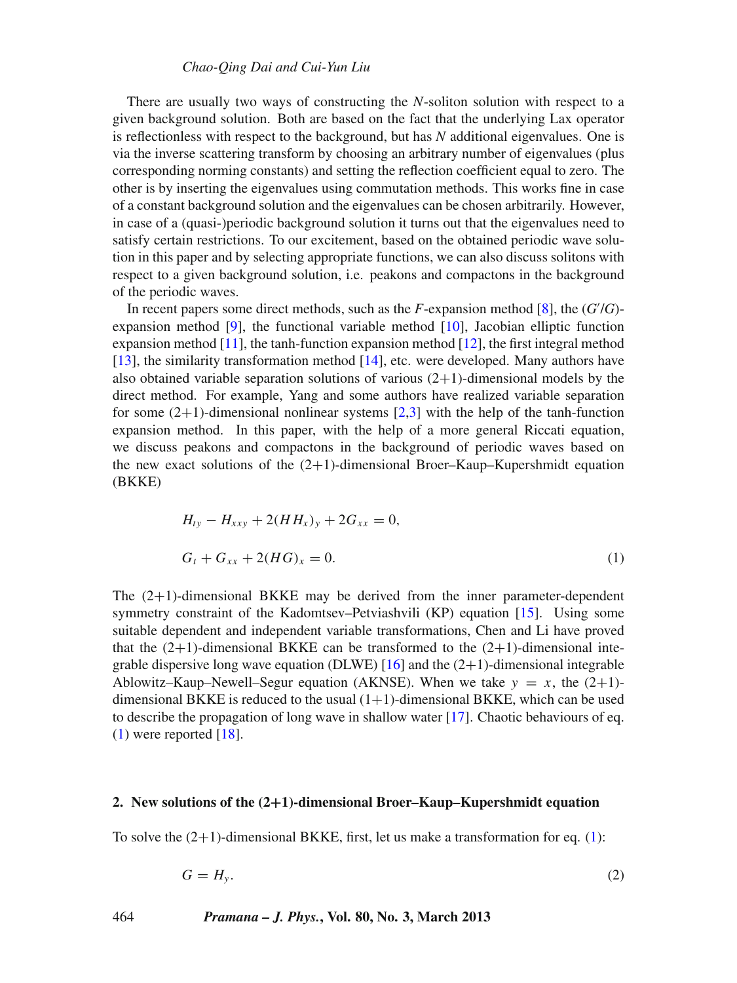#### *Chao-Qing Dai and Cui-Yun Liu*

There are usually two ways of constructing the *N*-soliton solution with respect to a given background solution. Both are based on the fact that the underlying Lax operator is reflectionless with respect to the background, but has *N* additional eigenvalues. One is via the inverse scattering transform by choosing an arbitrary number of eigenvalues (plus corresponding norming constants) and setting the reflection coefficient equal to zero. The other is by inserting the eigenvalues using commutation methods. This works fine in case of a constant background solution and the eigenvalues can be chosen arbitrarily. However, in case of a (quasi-)periodic background solution it turns out that the eigenvalues need to satisfy certain restrictions. To our excitement, based on the obtained periodic wave solution in this paper and by selecting appropriate functions, we can also discuss solitons with respect to a given background solution, i.e. peakons and compactons in the background of the periodic waves.

In recent papers some direct methods, such as the *F*-expansion method [\[8\]](#page-7-2), the (*G* /*G*) expansion method [\[9](#page-7-3)], the functional variable method [\[10](#page-7-4)], Jacobian elliptic function expansion method  $[11]$  $[11]$ , the tanh-function expansion method  $[12]$ , the first integral method [\[13](#page-7-7)], the similarity transformation method [\[14](#page-7-8)], etc. were developed. Many authors have also obtained variable separation solutions of various  $(2+1)$ -dimensional models by the direct method. For example, Yang and some authors have realized variable separation for some  $(2+1)$ -dimensional nonlinear systems  $[2,3]$  $[2,3]$  $[2,3]$  with the help of the tanh-function expansion method. In this paper, with the help of a more general Riccati equation, we discuss peakons and compactons in the background of periodic waves based on the new exact solutions of the  $(2+1)$ -dimensional Broer–Kaup–Kupershmidt equation (BKKE)

<span id="page-1-0"></span>
$$
H_{ty} - H_{xxy} + 2(HH_x)y + 2G_{xx} = 0,
$$
  
\n
$$
G_t + G_{xx} + 2(HG)_x = 0.
$$
\n(1)

The (2+1)-dimensional BKKE may be derived from the inner parameter-dependent symmetry constraint of the Kadomtsev–Petviashvili (KP) equation [\[15\]](#page-7-9). Using some suitable dependent and independent variable transformations, Chen and Li have proved that the  $(2+1)$ -dimensional BKKE can be transformed to the  $(2+1)$ -dimensional integrable dispersive long wave equation (DLWE)  $[16]$  $[16]$  and the  $(2+1)$ -dimensional integrable Ablowitz–Kaup–Newell–Segur equation (AKNSE). When we take  $y = x$ , the (2+1)dimensional BKKE is reduced to the usual  $(1+1)$ -dimensional BKKE, which can be used to describe the propagation of long wave in shallow water  $[17]$ . Chaotic behaviours of eq.  $(1)$  were reported [\[18\]](#page-7-12).

## **2. New solutions of the (2+1)-dimensional Broer–Kaup–Kupershmidt equation**

To solve the  $(2+1)$ -dimensional BKKE, first, let us make a transformation for eq. [\(1\)](#page-1-0):

<span id="page-1-1"></span>
$$
G = H_{y}.\tag{2}
$$

#### 464 *Pramana – J. Phys.***, Vol. 80, No. 3, March 2013**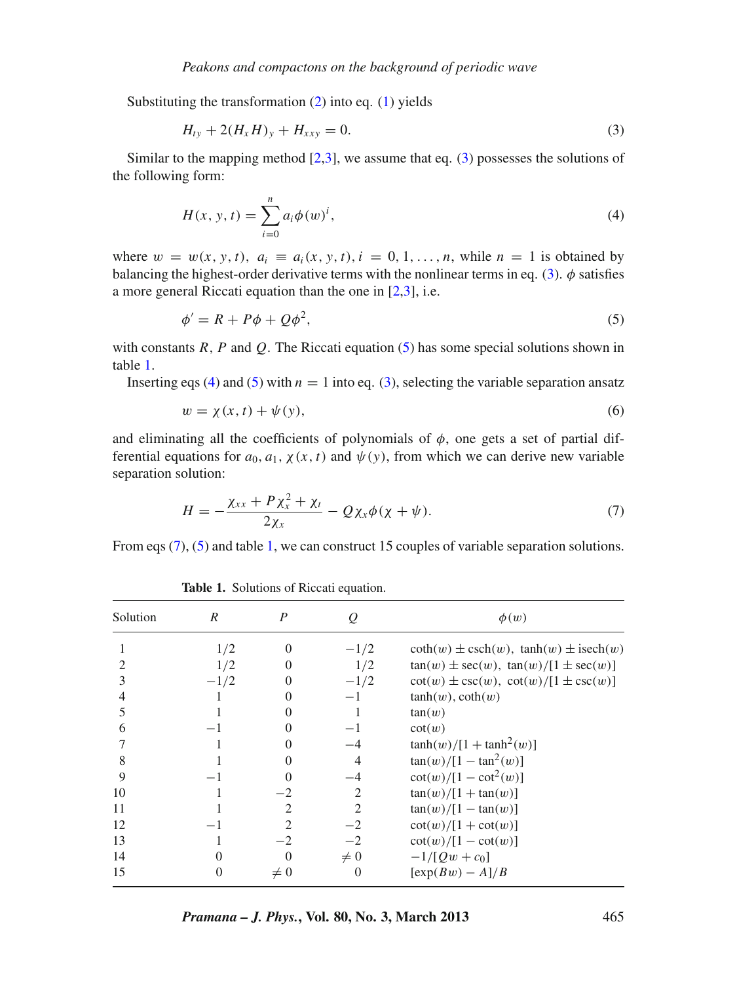Substituting the transformation  $(2)$  into eq.  $(1)$  yields

<span id="page-2-0"></span>
$$
H_{ty} + 2(H_x H)_y + H_{xxy} = 0.
$$
 (3)

Similar to the mapping method  $[2,3]$  $[2,3]$ , we assume that eq.  $(3)$  possesses the solutions of the following form:

<span id="page-2-3"></span>
$$
H(x, y, t) = \sum_{i=0}^{n} a_i \phi(w)^i,
$$
 (4)

where  $w = w(x, y, t)$ ,  $a_i \equiv a_i(x, y, t)$ ,  $i = 0, 1, \ldots, n$ , while  $n = 1$  is obtained by balancing the highest-order derivative terms with the nonlinear terms in eq. [\(3\)](#page-2-0).  $\phi$  satisfies a more general Riccati equation than the one in [\[2](#page-6-2)[,3](#page-6-3)], i.e.

<span id="page-2-1"></span>
$$
\phi' = R + P\phi + Q\phi^2,\tag{5}
$$

with constants *R*, *P* and *Q*. The Riccati equation [\(5\)](#page-2-1) has some special solutions shown in table [1.](#page-2-2)

Inserting eqs [\(4\)](#page-2-3) and [\(5\)](#page-2-1) with  $n = 1$  into eq. [\(3\)](#page-2-0), selecting the variable separation ansatz

$$
w = \chi(x, t) + \psi(y),\tag{6}
$$

and eliminating all the coefficients of polynomials of  $\phi$ , one gets a set of partial differential equations for  $a_0$ ,  $a_1$ ,  $\chi(x, t)$  and  $\psi(y)$ , from which we can derive new variable separation solution:

<span id="page-2-4"></span>
$$
H = -\frac{\chi_{xx} + P\chi_x^2 + \chi_t}{2\chi_x} - Q\chi_x\phi(\chi + \psi). \tag{7}
$$

From eqs [\(7\)](#page-2-4), [\(5\)](#page-2-1) and table [1,](#page-2-2) we can construct 15 couples of variable separation solutions.

<span id="page-2-2"></span>

| Solution | R      | P                           | Q                           | $\phi(w)$                                                  |
|----------|--------|-----------------------------|-----------------------------|------------------------------------------------------------|
|          | 1/2    | $\theta$                    | $-1/2$                      | $\coth(w) \pm \csch(w)$ , $\tanh(w) \pm \mathrm{isech}(w)$ |
|          | 1/2    |                             | 1/2                         | $tan(w) \pm sec(w)$ , $tan(w)/[1 \pm sec(w)]$              |
|          | $-1/2$ |                             | $-1/2$                      | $\cot(w) \pm \csc(w)$ , $\cot(w)/[1 \pm \csc(w)]$          |
|          |        |                             | $-1$                        | $tanh(w)$ , $coth(w)$                                      |
|          |        |                             |                             | tan(w)                                                     |
| 6        |        |                             |                             | $\cot(w)$                                                  |
|          |        |                             | -4                          | $\tanh(w)/[1 + \tanh^2(w)]$                                |
| 8        |        |                             | $\overline{4}$              | $tan(w)/[1 - tan^2(w)]$                                    |
| 9        |        |                             |                             | $cot(w)/[1 - cot^2(w)]$                                    |
| 10       |        | -2                          | 2                           | $tan(w)/[1 + tan(w)]$                                      |
| 11       |        | $\mathcal{D}_{\mathcal{L}}$ | $\mathcal{D}_{\mathcal{L}}$ | $tan(w)/[1 - tan(w)]$                                      |
| 12       |        | $\mathcal{D}_{\mathcal{A}}$ | $-2$                        | $cot(w)/[1 + cot(w)]$                                      |
| 13       |        | $-2$                        | $-2$                        | $cot(w)/[1 - cot(w)]$                                      |
| 14       |        | $\Omega$                    | $\neq 0$                    | $-1/[Qw + c_0]$                                            |
| 15       | 0      | $\neq 0$                    | $\Omega$                    | $[\exp(Bw) - A]/B$                                         |

**Table 1.** Solutions of Riccati equation.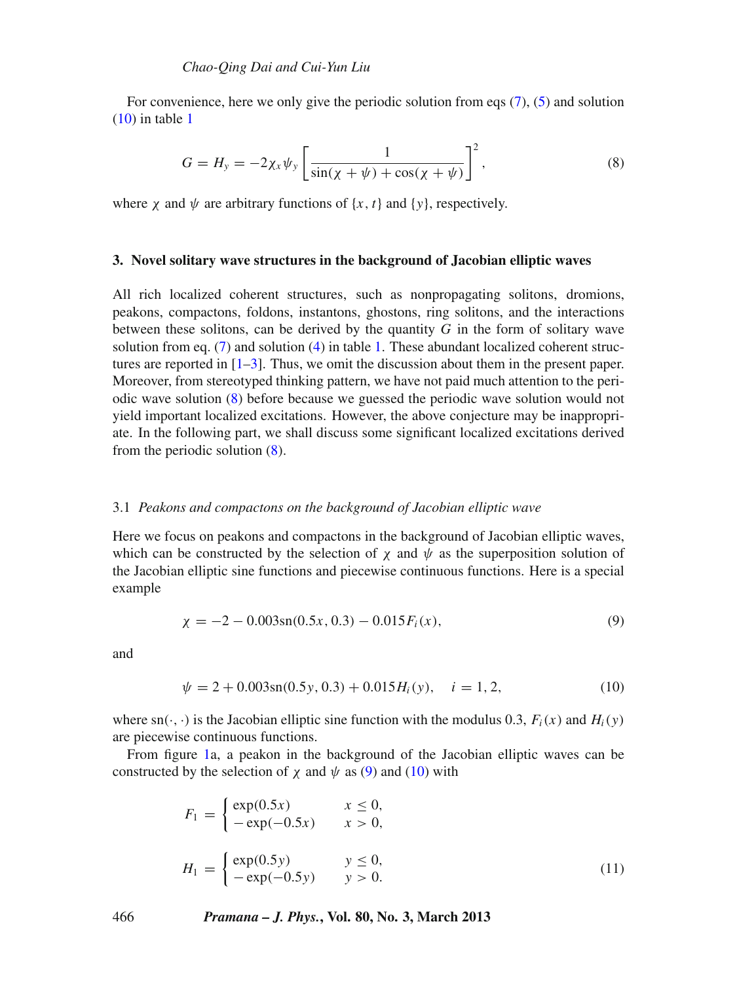For convenience, here we only give the periodic solution from eqs  $(7)$ ,  $(5)$  and solution  $(10)$  in table [1](#page-2-2)

<span id="page-3-1"></span>
$$
G = H_{y} = -2\chi_{x}\psi_{y} \left[ \frac{1}{\sin(\chi + \psi) + \cos(\chi + \psi)} \right]^{2},
$$
\n(8)

where  $\chi$  and  $\psi$  are arbitrary functions of  $\{x, t\}$  and  $\{\gamma\}$ , respectively.

#### **3. Novel solitary wave structures in the background of Jacobian elliptic waves**

All rich localized coherent structures, such as nonpropagating solitons, dromions, peakons, compactons, foldons, instantons, ghostons, ring solitons, and the interactions between these solitons, can be derived by the quantity *G* in the form of solitary wave solution from eq.  $(7)$  and solution  $(4)$  in table [1.](#page-2-2) These abundant localized coherent structures are reported in  $[1-3]$  $[1-3]$ . Thus, we omit the discussion about them in the present paper. Moreover, from stereotyped thinking pattern, we have not paid much attention to the periodic wave solution [\(8\)](#page-3-1) before because we guessed the periodic wave solution would not yield important localized excitations. However, the above conjecture may be inappropriate. In the following part, we shall discuss some significant localized excitations derived from the periodic solution [\(8\)](#page-3-1).

#### 3.1 *Peakons and compactons on the background of Jacobian elliptic wave*

Here we focus on peakons and compactons in the background of Jacobian elliptic waves, which can be constructed by the selection of  $\chi$  and  $\psi$  as the superposition solution of the Jacobian elliptic sine functions and piecewise continuous functions. Here is a special example

<span id="page-3-2"></span>
$$
\chi = -2 - 0.003 \text{sn}(0.5x, 0.3) - 0.015 F_i(x),\tag{9}
$$

<span id="page-3-0"></span>and

$$
\psi = 2 + 0.003 \text{sn}(0.5y, 0.3) + 0.015 H_i(y), \quad i = 1, 2,
$$
\n(10)

where  $\text{sn}(\cdot, \cdot)$  is the Jacobian elliptic sine function with the modulus 0.3,  $F_i(x)$  and  $H_i(y)$ are piecewise continuous functions.

From figure [1a](#page-4-0), a peakon in the background of the Jacobian elliptic waves can be constructed by the selection of  $\chi$  and  $\psi$  as [\(9\)](#page-3-2) and [\(10\)](#page-3-0) with

$$
F_1 = \begin{cases} \exp(0.5x) & x \le 0, \\ -\exp(-0.5x) & x > 0, \end{cases}
$$
  

$$
H_1 = \begin{cases} \exp(0.5y) & y \le 0, \\ -\exp(-0.5y) & y > 0. \end{cases}
$$
 (11)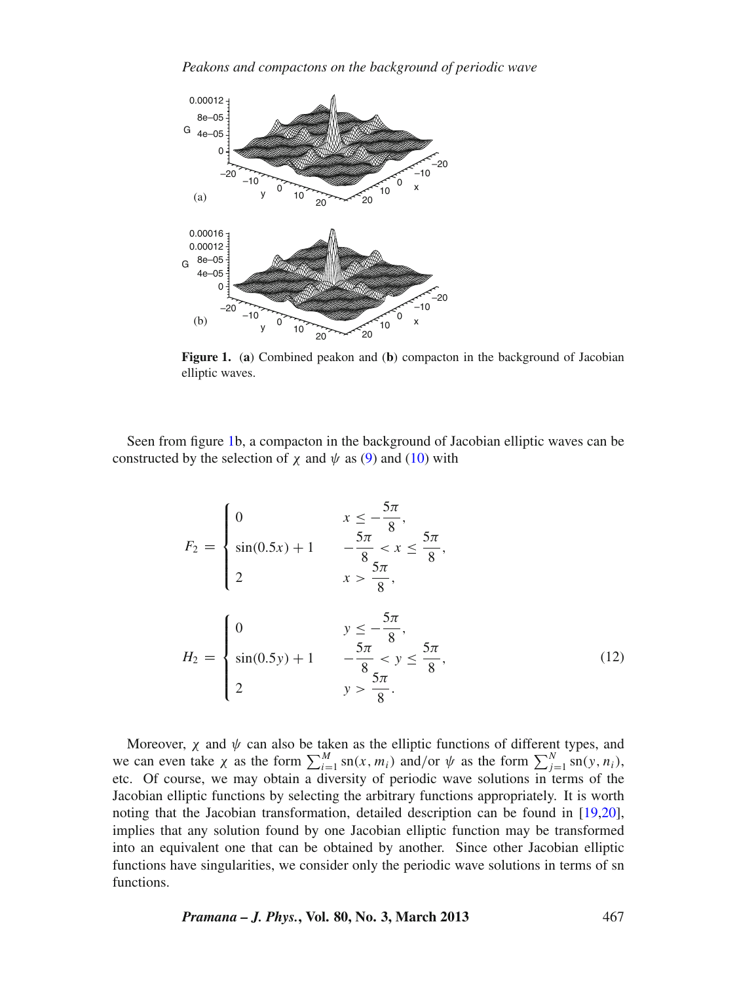<span id="page-4-0"></span>

**Figure 1.** (**a**) Combined peakon and (**b**) compacton in the background of Jacobian elliptic waves.

Seen from figure [1b](#page-4-0), a compacton in the background of Jacobian elliptic waves can be constructed by the selection of  $\chi$  and  $\psi$  as [\(9\)](#page-3-2) and [\(10\)](#page-3-0) with

$$
F_2 = \begin{cases} 0 & x \le -\frac{5\pi}{8}, \\ \sin(0.5x) + 1 & -\frac{5\pi}{8} < x \le \frac{5\pi}{8}, \\ 2 & x > \frac{5\pi}{8}, \end{cases}
$$

$$
H_2 = \begin{cases} 0 & y \le -\frac{5\pi}{8}, \\ \sin(0.5y) + 1 & -\frac{5\pi}{8} < y \le \frac{5\pi}{8}, \\ 2 & y > \frac{5\pi}{8}. \end{cases}
$$
(12)

Moreover,  $\chi$  and  $\psi$  can also be taken as the elliptic functions of different types, and we can even take  $\chi$  as the form  $\sum_{i=1}^{M} \text{sn}(x, m_i)$  and/or  $\psi$  as the form  $\sum_{j=1}^{N} \text{sn}(y, n_i)$ , etc. Of course, we may obtain a diversity of periodic wave solutions in terms of the Jacobian elliptic functions by selecting the arbitrary functions appropriately. It is worth noting that the Jacobian transformation, detailed description can be found in [\[19](#page-7-13)[,20](#page-7-14)], implies that any solution found by one Jacobian elliptic function may be transformed into an equivalent one that can be obtained by another. Since other Jacobian elliptic functions have singularities, we consider only the periodic wave solutions in terms of sn functions.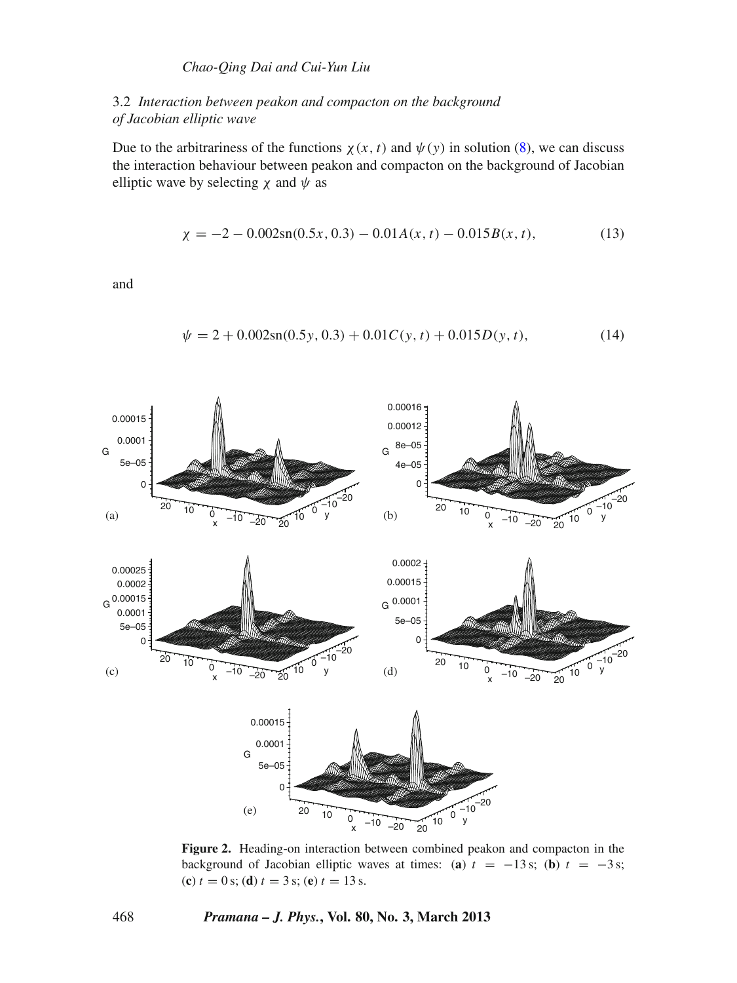# *Chao-Qing Dai and Cui-Yun Liu*

# 3.2 *Interaction between peakon and compacton on the background of Jacobian elliptic wave*

Due to the arbitrariness of the functions  $\chi(x, t)$  and  $\psi(y)$  in solution [\(8\)](#page-3-1), we can discuss the interaction behaviour between peakon and compacton on the background of Jacobian elliptic wave by selecting  $\chi$  and  $\psi$  as

$$
\chi = -2 - 0.002 \operatorname{sn}(0.5x, 0.3) - 0.01 A(x, t) - 0.015 B(x, t), \tag{13}
$$

and

$$
\psi = 2 + 0.002 \text{sn}(0.5y, 0.3) + 0.01C(y, t) + 0.015D(y, t), \tag{14}
$$

<span id="page-5-0"></span>

**Figure 2.** Heading-on interaction between combined peakon and compacton in the background of Jacobian elliptic waves at times: (**a**)  $t = -13$  s; (**b**)  $t = -3$  s; (**c**)  $t = 0$  s; (**d**)  $t = 3$  s; (**e**)  $t = 13$  s.

468 *Pramana – J. Phys.***, Vol. 80, No. 3, March 2013**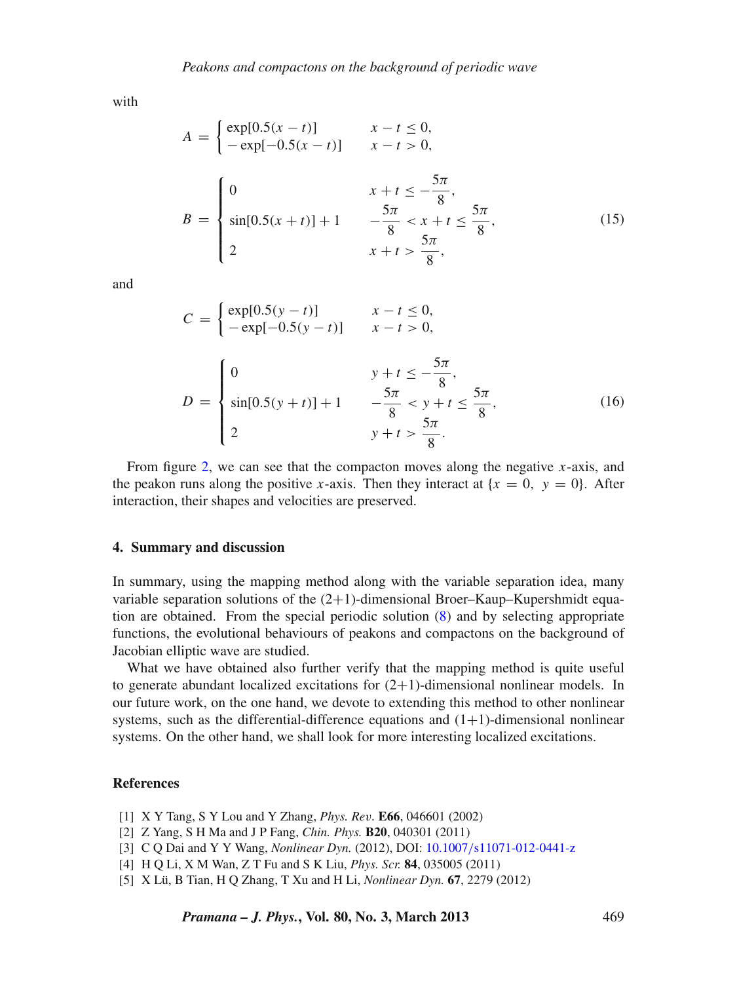with

$$
A = \begin{cases} \exp[0.5(x - t)] & x - t \le 0, \\ -\exp[-0.5(x - t)] & x - t > 0, \end{cases}
$$
  

$$
B = \begin{cases} 0 & x + t \le -\frac{5\pi}{8}, \\ \sin[0.5(x + t)] + 1 & -\frac{5\pi}{8} < x + t \le \frac{5\pi}{8}, \\ 2 & x + t > \frac{5\pi}{8}, \end{cases}
$$
(15)

and

$$
C = \begin{cases} \exp[0.5(y - t)] & x - t \le 0, \\ -\exp[-0.5(y - t)] & x - t > 0, \end{cases}
$$
  

$$
D = \begin{cases} 0 & y + t \le -\frac{5\pi}{8}, \\ \sin[0.5(y + t)] + 1 & -\frac{5\pi}{8} < y + t \le \frac{5\pi}{8}, \\ 2 & y + t > \frac{5\pi}{8}. \end{cases}
$$
(16)

From figure [2,](#page-5-0) we can see that the compacton moves along the negative *x*-axis, and the peakon runs along the positive *x*-axis. Then they interact at  ${x = 0, y = 0}$ . After interaction, their shapes and velocities are preserved.

## **4. Summary and discussion**

In summary, using the mapping method along with the variable separation idea, many variable separation solutions of the  $(2+1)$ -dimensional Broer–Kaup–Kupershmidt equation are obtained. From the special periodic solution [\(8\)](#page-3-1) and by selecting appropriate functions, the evolutional behaviours of peakons and compactons on the background of Jacobian elliptic wave are studied.

What we have obtained also further verify that the mapping method is quite useful to generate abundant localized excitations for  $(2+1)$ -dimensional nonlinear models. In our future work, on the one hand, we devote to extending this method to other nonlinear systems, such as the differential-difference equations and  $(1+1)$ -dimensional nonlinear systems. On the other hand, we shall look for more interesting localized excitations.

## **References**

- <span id="page-6-0"></span>[1] X Y Tang, S Y Lou and Y Zhang, *Phys. Re*v*.* **E66**, 046601 (2002)
- <span id="page-6-2"></span>[2] Z Yang, S H Ma and J P Fang, *Chin. Phys.* **B20**, 040301 (2011)
- <span id="page-6-3"></span>[3] C Q Dai and Y Y Wang, *Nonlinear Dyn.* (2012), DOI: 10.1007/[s11071-012-0441-z](http://dx.doi.org/10.1007/s11071-012-0441-z)
- [4] H Q Li, X M Wan, Z T Fu and S K Liu, *Phys. Scr.* **84**, 035005 (2011)
- <span id="page-6-1"></span>[5] X Lü, B Tian, H Q Zhang, T Xu and H Li, *Nonlinear Dyn.* **67**, 2279 (2012)